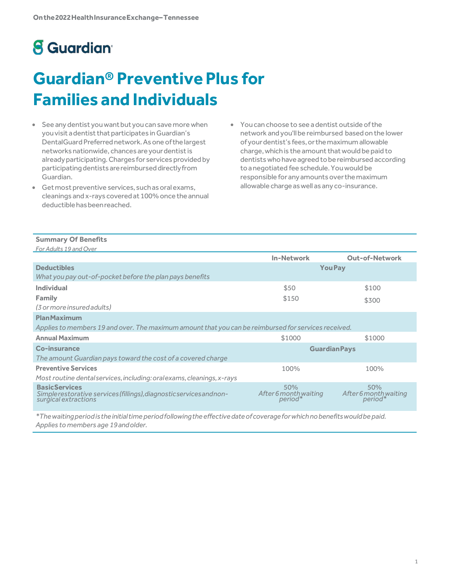# **8** Guardian<sup>®</sup>

# **Guardian® Preventive Plus for Families and Individuals**

- See any dentist you want but you can save more when you visit a dentist that participates in Guardian's DentalGuard Preferrednetwork.Asoneofthelargest networks nationwide, chances are your dentist is already participating. Charges for services provided by participating dentists are reimbursed directly from Guardian.
- Get most preventive services, such as oral exams, cleanings and x-rays covered at 100% once the annual deductible has been reached.
- Youcan choose to see adentist outside ofthe network andyou'llbe reimbursed basedon the lower ofyourdentist's fees,orthemaximumallowable charge, which is the amount that would be paid to dentistswhohaveagreedtobereimbursed according toanegotiated fee schedule.Youwould be responsible for any amounts over the maximum allowable charge as well as any co-insurance.

#### **Summary Of Benefits** *For Adults19 andOver*

| $1.91$ , tually 19 and $0.01$                                                                                        | <b>In-Network</b>                       | <b>Out-of-Network</b>                  |  |
|----------------------------------------------------------------------------------------------------------------------|-----------------------------------------|----------------------------------------|--|
| <b>Deductibles</b>                                                                                                   | <b>You Pay</b>                          |                                        |  |
| What you pay out-of-pocket before the plan pays benefits                                                             |                                         |                                        |  |
| Individual                                                                                                           | \$50                                    | \$100                                  |  |
| Family                                                                                                               | \$150                                   | \$300                                  |  |
| (3 or more insured adults)                                                                                           |                                         |                                        |  |
| <b>PlanMaximum</b>                                                                                                   |                                         |                                        |  |
| Applies to members 19 and over. The maximum amount that you can be reimbursed for services received.                 |                                         |                                        |  |
| <b>Annual Maximum</b>                                                                                                | \$1000                                  | \$1000                                 |  |
| Co-insurance                                                                                                         | <b>Guardian Pays</b>                    |                                        |  |
| The amount Guardian pays toward the cost of a covered charge                                                         |                                         |                                        |  |
| <b>Preventive Services</b>                                                                                           | 100%                                    | 100%                                   |  |
| Most routine dental services, including: oral exams, cleanings, x-rays                                               |                                         |                                        |  |
| <b>BasicServices</b><br>Simple restorative services (fillings), diagnostics ervices and non-<br>surgical extractions | 50%<br>After 6 month waiting<br>period* | 50%<br>After 6 month waiting<br>*eriod |  |

*\*Thewaitingperiodistheinitialtimeperiodfollowingtheeffectivedateofcoverageforwhichnobenefitswouldbepaid. Applies to members age 19andolder.*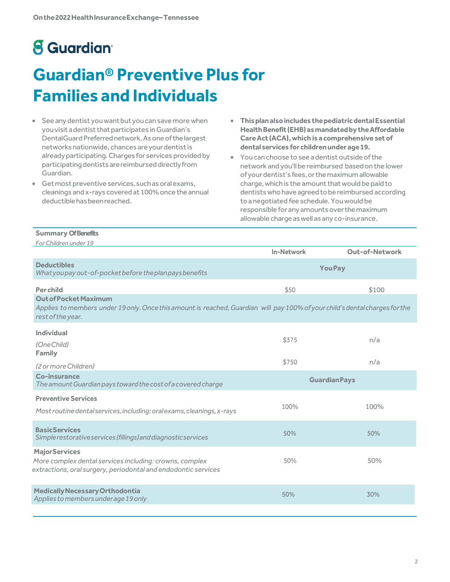# **8** Guardian<sup>®</sup>

# **Guardian® Preventive Plus for Families and Individuals**

- See any dentist you want but you can save more when you visit a dentist that participates in Guardian's DentalGuard Preferrednetwork.Asoneofthelargest networks nationwide, chances are your dentist is already participating. Charges for services provided by participating dentists are reimbursed directly from Guardian.
- Get most preventive services, such as oral exams, cleanings and x-rays covered at 100% once the annual deductible has been reached.
- **Thisplanalsoincludes thepediatricdentalEssential HealthBenefit (EHB)asmandatedbytheAffordable CareAct (ACA),which is a comprehensive setof dentalservices forchildrenunderage19.**
- Youcan choose to see adentist outside ofthe network andyou'llbe reimbursed basedon the lower ofyourdentist's fees,orthemaximumallowable charge, which is the amount that would be paid to dentistswhohaveagreedtobereimbursed according toanegotiated fee schedule.Youwould be responsible for any amounts over the maximum allowable charge as well as any co-insurance.

### **Summary OfBenefits**

| For Children under 19                                                                                                                                                             |                     |                       |
|-----------------------------------------------------------------------------------------------------------------------------------------------------------------------------------|---------------------|-----------------------|
|                                                                                                                                                                                   | <b>In-Network</b>   | <b>Out-of-Network</b> |
| <b>Deductibles</b><br>What you pay out-of-pocket before the plan pays benefits                                                                                                    | <b>You Pay</b>      |                       |
| <b>Perchild</b>                                                                                                                                                                   | \$50                | \$100                 |
| <b>Out of Pocket Maximum</b><br>Applies to members under 19 only. Once this amount is reached, Guardian will pay 100% of your child's dental charges for the<br>rest of the year. |                     |                       |
| <b>Individual</b><br>(One Child)<br><b>Family</b>                                                                                                                                 | \$375               | n/a                   |
| (2 or more Children)                                                                                                                                                              | \$750               | n/a                   |
| <b>Co-insurance</b><br>The amount Guardian pays toward the cost of a covered charge                                                                                               | <b>GuardianPays</b> |                       |
| <b>Preventive Services</b><br>Most routine dental services, including: oral exams, cleanings, x-rays                                                                              | 100%                | 100%                  |
| <b>BasicServices</b><br>Simplerestorativeservices (fillings) and diagnosticservices                                                                                               | 50%                 | 50%                   |
| <b>MajorServices</b><br>More complex dental services including: crowns, complex<br>extractions, oral surgery, periodontal and endodontic services                                 | 50%                 | 50%                   |
| Medically Necessary Orthodontia<br>Applies to members under age 19 only                                                                                                           | 50%                 | 30%                   |
|                                                                                                                                                                                   |                     |                       |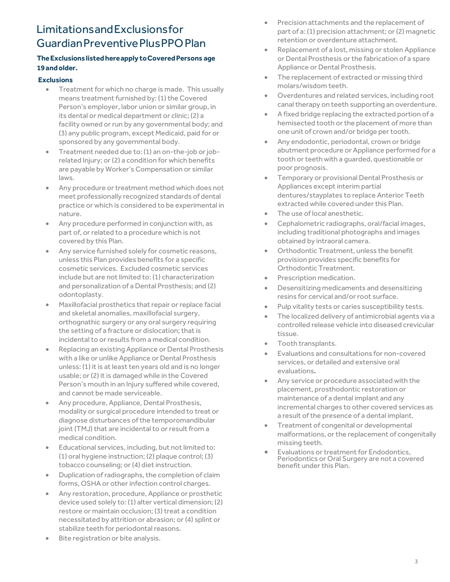# LimitationsandExclusionsfor GuardianPreventivePlusPPOPlan

## **TheExclusionslistedhereapply toCoveredPersons age 19andolder.**

### **Exclusions**

- Treatment for which no charge is made. This usually means treatment furnished by: (1) the Covered Person's employer, labor union or similar group, in its dental or medical department or clinic; (2) a facility owned or run by any governmental body; and (3) any public program, except Medicaid, paid for or sponsored by any governmental body.
- Treatment needed due to: (1) an on-the-job or jobrelated Injury; or (2) a condition for which benefits are payable by Worker's Compensation or similar laws.
- Any procedure or treatment method which does not meet professionally recognized standards of dental practice or which is considered to be experimental in nature.
- Any procedure performed in conjunction with, as part of, or related to a procedure which is not covered by this Plan.
- Any service furnished solely for cosmetic reasons, unless this Plan provides benefits for a specific cosmetic services. Excluded cosmetic services include but are not limited to: (1) characterization and personalization of a Dental Prosthesis; and (2) odontoplasty.
- Maxillofacial prosthetics that repair or replace facial and skeletal anomalies, maxillofacial surgery, orthognathic surgery or any oral surgery requiring the setting of a fracture or dislocation; that is incidental to or results from a medical condition.
- Replacing an existing Appliance or Dental Prosthesis with a like or unlike Appliance or Dental Prosthesis unless: (1) it is at least ten years old and is no longer usable; or (2) it is damaged while in the Covered Person's mouth in an Injury suffered while covered, and cannot be made serviceable.
- Any procedure, Appliance, Dental Prosthesis, modality or surgical procedure intended to treat or diagnose disturbances of the temporomandibular joint (TMJ) that are incidental to or result from a medical condition.
- Educational services, including, but not limited to: (1) oral hygiene instruction; (2) plaque control; (3) tobacco counseling; or (4) diet instruction.
- Duplication of radiographs, the completion of claim forms, OSHA or other infection control charges.
- Any restoration, procedure, Appliance or prosthetic device used solely to: (1) alter vertical dimension; (2) restore or maintain occlusion; (3) treat a condition necessitated by attrition or abrasion; or (4) splint or stabilize teeth for periodontal reasons.
- Bite registration or bite analysis.
- Precision attachments and the replacement of part of a: (1) precision attachment; or (2) magnetic retention or overdenture attachment.
- Replacement of a lost, missing or stolen Appliance or Dental Prosthesis or the fabrication of a spare Appliance or Dental Prosthesis.
- The replacement of extracted or missing third molars/wisdom teeth.
- Overdentures and related services, including root canal therapy on teeth supporting an overdenture.
- A fixed bridge replacing the extracted portion of a hemisected tooth or the placement of more than one unit of crown and/or bridge per tooth.
- Any endodontic, periodontal, crown or bridge abutment procedure or Appliance performed for a tooth or teeth with a guarded, questionable or poor prognosis.
- Temporary or provisional Dental Prosthesis or Appliances except interim partial dentures/stayplates to replace Anterior Teeth extracted while covered under this Plan.
- The use of local anesthetic.
- Cephalometric radiographs, oral/facial images, including traditional photographs and images obtained by intraoral camera.
- Orthodontic Treatment, unless the benefit provision provides specific benefits for Orthodontic Treatment.
- Prescription medication.
- Desensitizing medicaments and desensitizing resins for cervical and/or root surface.
- Pulp vitality tests or caries susceptibility tests.
- The localized delivery of antimicrobial agents via a controlled release vehicle into diseased crevicular tissue.
- Tooth transplants.
- Evaluations and consultations for non-covered services, or detailed and extensive oral evaluations**.**
- Any service or procedure associated with the placement, prosthodontic restoration or maintenance of a dental implant and any incremental charges to other covered services as a result of the presence of a dental implant.
- Treatment of congenital or developmental malformations, or the replacement of congenitally missing teeth.
- Evaluations or treatment for Endodontics, Periodontics or Oral Surgery are not a covered benefit under this Plan.